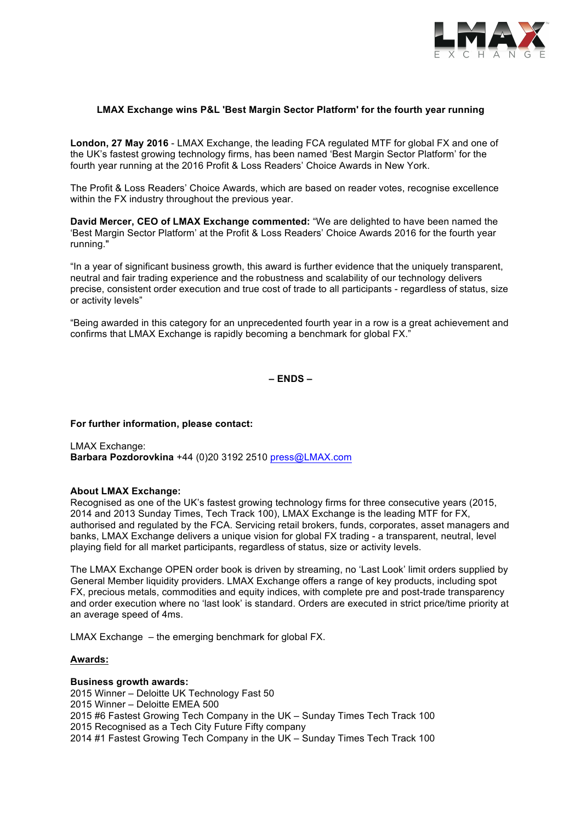

# **LMAX Exchange wins P&L 'Best Margin Sector Platform' for the fourth year running**

**London, 27 May 2016** - LMAX Exchange, the leading FCA regulated MTF for global FX and one of the UK's fastest growing technology firms, has been named 'Best Margin Sector Platform' for the fourth year running at the 2016 Profit & Loss Readers' Choice Awards in New York.

The Profit & Loss Readers' Choice Awards, which are based on reader votes, recognise excellence within the FX industry throughout the previous year.

**David Mercer, CEO of LMAX Exchange commented:** "We are delighted to have been named the 'Best Margin Sector Platform' at the Profit & Loss Readers' Choice Awards 2016 for the fourth year running."

"In a year of significant business growth, this award is further evidence that the uniquely transparent, neutral and fair trading experience and the robustness and scalability of our technology delivers precise, consistent order execution and true cost of trade to all participants - regardless of status, size or activity levels"

"Being awarded in this category for an unprecedented fourth year in a row is a great achievement and confirms that LMAX Exchange is rapidly becoming a benchmark for global FX."

**– ENDS –**

## **For further information, please contact:**

LMAX Exchange: **Barbara Pozdorovkina** +44 (0)20 3192 2510 press@LMAX.com

## **About LMAX Exchange:**

Recognised as one of the UK's fastest growing technology firms for three consecutive years (2015, 2014 and 2013 Sunday Times, Tech Track 100), LMAX Exchange is the leading MTF for FX, authorised and regulated by the FCA. Servicing retail brokers, funds, corporates, asset managers and banks, LMAX Exchange delivers a unique vision for global FX trading - a transparent, neutral, level playing field for all market participants, regardless of status, size or activity levels.

The LMAX Exchange OPEN order book is driven by streaming, no 'Last Look' limit orders supplied by General Member liquidity providers. LMAX Exchange offers a range of key products, including spot FX, precious metals, commodities and equity indices, with complete pre and post-trade transparency and order execution where no 'last look' is standard. Orders are executed in strict price/time priority at an average speed of 4ms.

LMAX Exchange – the emerging benchmark for global FX.

## **Awards:**

## **Business growth awards:**

2015 Winner – Deloitte UK Technology Fast 50 2015 Winner – Deloitte EMEA 500 2015 #6 Fastest Growing Tech Company in the UK – Sunday Times Tech Track 100 2015 Recognised as a Tech City Future Fifty company 2014 #1 Fastest Growing Tech Company in the UK – Sunday Times Tech Track 100